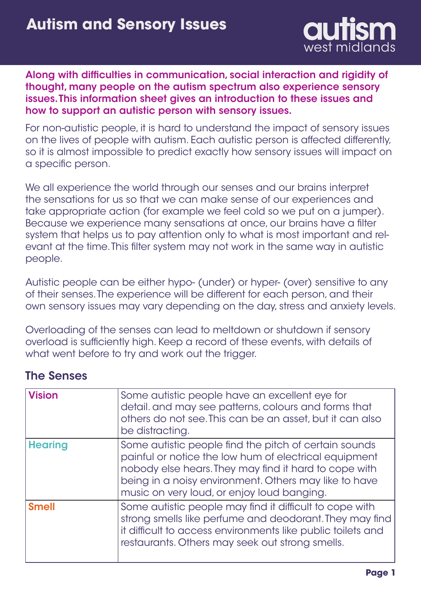

## Along with difficulties in communication, social interaction and rigidity of thought, many people on the autism spectrum also experience sensory issues. This information sheet gives an introduction to these issues and how to support an autistic person with sensory issues.

For non-autistic people, it is hard to understand the impact of sensory issues on the lives of people with autism. Each autistic person is affected differently, so it is almost impossible to predict exactly how sensory issues will impact on a specific person.

We all experience the world through our senses and our brains interpret the sensations for us so that we can make sense of our experiences and take appropriate action (for example we feel cold so we put on a jumper). Because we experience many sensations at once, our brains have a filter system that helps us to pay attention only to what is most important and relevant at the time. This filter system may not work in the same way in autistic people.

Autistic people can be either hypo- (under) or hyper- (over) sensitive to any of their senses. The experience will be different for each person, and their own sensory issues may vary depending on the day, stress and anxiety levels.

Overloading of the senses can lead to meltdown or shutdown if sensory overload is sufficiently high. Keep a record of these events, with details of what went before to try and work out the trigger.

# The Senses

| <b>Vision</b>  | Some autistic people have an excellent eye for<br>detail. and may see patterns, colours and forms that<br>others do not see. This can be an asset, but it can also<br>be distracting.                                                                                          |
|----------------|--------------------------------------------------------------------------------------------------------------------------------------------------------------------------------------------------------------------------------------------------------------------------------|
| <b>Hearing</b> | Some autistic people find the pitch of certain sounds<br>painful or notice the low hum of electrical equipment<br>nobody else hears. They may find it hard to cope with<br>being in a noisy environment. Others may like to have<br>music on very loud, or enjoy loud banging. |
| <b>Smell</b>   | Some autistic people may find it difficult to cope with<br>strong smells like perfume and deodorant. They may find<br>it difficult to access environments like public toilets and<br>restaurants. Others may seek out strong smells.                                           |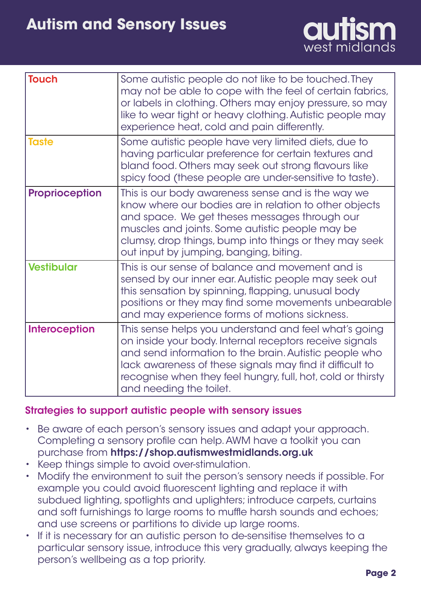

| <b>Touch</b>          | Some autistic people do not like to be touched. They<br>may not be able to cope with the feel of certain fabrics,<br>or labels in clothing. Others may enjoy pressure, so may<br>like to wear tight or heavy clothing. Autistic people may<br>experience heat, cold and pain differently.                                        |
|-----------------------|----------------------------------------------------------------------------------------------------------------------------------------------------------------------------------------------------------------------------------------------------------------------------------------------------------------------------------|
| <b>Taste</b>          | Some autistic people have very limited diets, due to<br>having particular preference for certain textures and<br>bland food. Others may seek out strong flavours like<br>spicy food (these people are under-sensitive to taste).                                                                                                 |
| <b>Proprioception</b> | This is our body awareness sense and is the way we<br>know where our bodies are in relation to other objects<br>and space. We get theses messages through our<br>muscles and joints. Some autistic people may be<br>clumsy, drop things, bump into things or they may seek<br>out input by jumping, banging, biting.             |
| <b>Vestibular</b>     | This is our sense of balance and movement and is<br>sensed by our inner ear. Autistic people may seek out<br>this sensation by spinning, flapping, unusual body<br>positions or they may find some movements unbearable<br>and may experience forms of motions sickness.                                                         |
| <b>Interoception</b>  | This sense helps you understand and feel what's going<br>on inside your body. Internal receptors receive signals<br>and send information to the brain. Autistic people who<br>lack awareness of these signals may find it difficult to<br>recognise when they feel hungry, full, hot, cold or thirsty<br>and needing the toilet. |

## Strategies to support autistic people with sensory issues

- Be aware of each person's sensory issues and adapt your approach. Completing a sensory profile can help. AWM have a toolkit you can purchase from https://shop.autismwestmidlands.org.uk
- Keep things simple to avoid over-stimulation.
- Modify the environment to suit the person's sensory needs if possible. For example you could avoid fluorescent lighting and replace it with subdued lighting, spotlights and uplighters; introduce carpets, curtains and soft furnishings to large rooms to muffle harsh sounds and echoes; and use screens or partitions to divide up large rooms.
- If it is necessary for an autistic person to de-sensitise themselves to a particular sensory issue, introduce this very gradually, always keeping the person's wellbeing as a top priority.